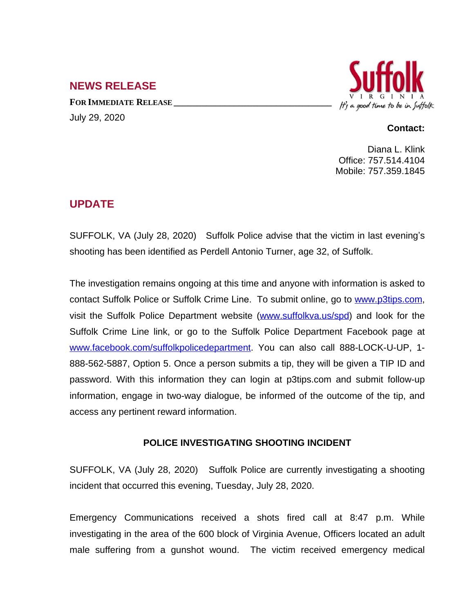## **NEWS RELEASE**

**FOR IMMEDIATE RELEASE \_\_\_\_\_\_\_\_\_\_\_\_\_\_\_\_\_\_\_\_\_\_\_\_\_\_\_\_\_\_\_\_\_\_** July 29, 2020



## **Contact:**

Diana L. Klink Office: 757.514.4104 Mobile: 757.359.1845

## **UPDATE**

SUFFOLK, VA (July 28, 2020) Suffolk Police advise that the victim in last evening's shooting has been identified as Perdell Antonio Turner, age 32, of Suffolk.

The investigation remains ongoing at this time and anyone with information is asked to contact Suffolk Police or Suffolk Crime Line. To submit online, go to [www.p3tips.com,](http://www.p3tips.com) visit the Suffolk Police Department website ([www.suffolkva.us/spd](http://www.suffolkva.us/spd)) and look for the Suffolk Crime Line link, or go to the Suffolk Police Department Facebook page at [www.facebook.com/suffolkpolicedepartment](http://www.facebook.com/suffolkpolicedepartment). You can also call 888-LOCK-U-UP, 1-888-562-5887, Option 5. Once a person submits a tip, they will be given a TIP ID and password. With this information they can login at p3tips.com and submit follow-up information, engage in two-way dialogue, be informed of the outcome of the tip, and access any pertinent reward information.

## **POLICE INVESTIGATING SHOOTING INCIDENT**

SUFFOLK, VA (July 28, 2020) Suffolk Police are currently investigating a shooting incident that occurred this evening, Tuesday, July 28, 2020.

Emergency Communications received a shots fired call at 8:47 p.m. While investigating in the area of the 600 block of Virginia Avenue, Officers located an adult male suffering from a gunshot wound. The victim received emergency medical